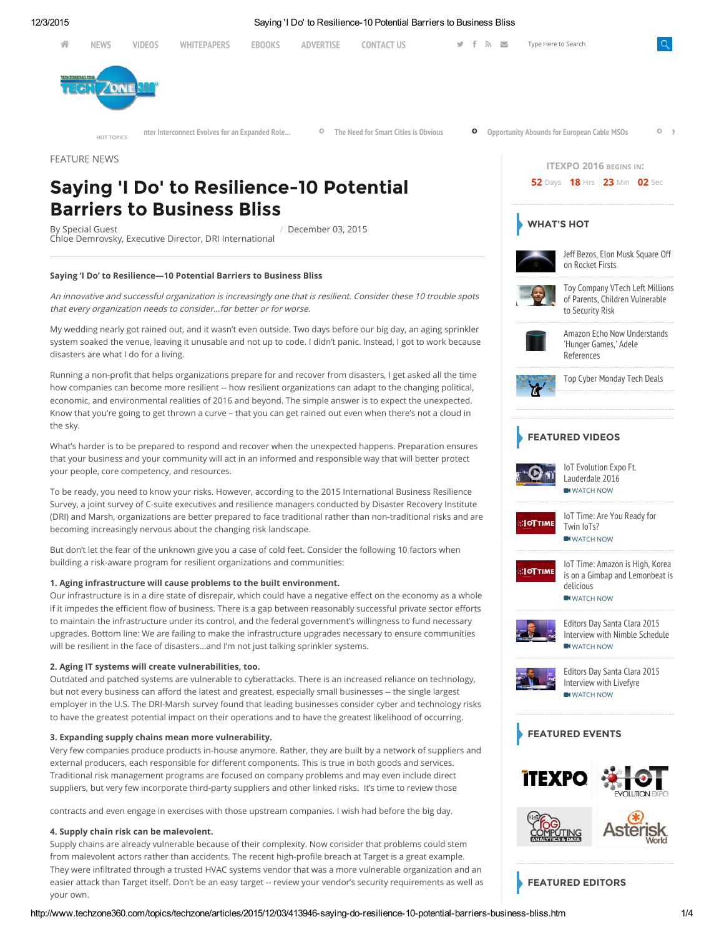

FEATURE NEWS

# Saying 'I Do' to Resilience-10 Potential Barriers to Business Bliss

By Special Guest Chloe [Demrovsky](https://www.drii.org/), Executive Director, DRI International / December 03, 2015

#### Saying 'I Do' to Resilience—10 Potential Barriers to Business Bliss

An innovative and successful organization is increasingly one that is resilient. Consider these 10 trouble spots that every organization needs to consider…for better or for worse.

My wedding nearly got rained out, and it wasn't even outside. Two days before our big day, an aging sprinkler system soaked the venue, leaving it unusable and not up to code. I didn't panic. Instead, I got to work because disasters are what I do for a living.

Running a non-profit that helps organizations prepare for and recover from disasters, I get asked all the time how companies can become more resilient -- how resilient organizations can adapt to the changing political, economic, and environmental realities of 2016 and beyond. The simple answer is to expect the unexpected. Know that you're going to get thrown a curve – that you can get rained out even when there's not a cloud in the sky.

What's harder is to be prepared to respond and recover when the unexpected happens. Preparation ensures that your business and your community will act in an informed and responsible way that will better protect your people, core competency, and resources.

To be ready, you need to know your risks. However, according to the 2015 International Business Resilience Survey, a joint survey of C-suite executives and resilience managers conducted by Disaster Recovery Institute (DRI) and Marsh, organizations are better prepared to face traditional rather than non-traditional risks and are becoming increasingly nervous about the changing risk landscape.

But don't let the fear of the unknown give you a case of cold feet. Consider the following 10 factors when building a risk-aware program for resilient organizations and communities:

### 1. Aging infrastructure will cause problems to the built environment.

Our infrastructure is in a dire state of disrepair, which could have a negative effect on the economy as a whole if it impedes the efficient flow of business. There is a gap between reasonably successful private sector efforts to maintain the infrastructure under its control, and the federal government's willingness to fund necessary upgrades. Bottom line: We are failing to make the infrastructure upgrades necessary to ensure communities will be resilient in the face of disasters…and I'm not just talking sprinkler systems.

#### 2. Aging IT systems will create vulnerabilities, too.

Outdated and patched systems are vulnerable to cyberattacks. There is an increased reliance on technology, but not every business can afford the latest and greatest, especially small businesses -- the single largest employer in the U.S. The DRI-Marsh survey found that leading businesses consider cyber and technology risks to have the greatest potential impact on their operations and to have the greatest likelihood of occurring.

### 3. Expanding supply chains mean more vulnerability.

Very few companies produce products in-house anymore. Rather, they are built by a network of suppliers and external producers, each responsible for different components. This is true in both goods and services. Traditional risk management programs are focused on company problems and may even include direct suppliers, but very few incorporate third-party suppliers and other linked risks. It's time to review those

contracts and even engage in exercises with those upstream companies. I wish had before the big day.

### 4. Supply chain risk can be malevolent.

Supply chains are already vulnerable because of their complexity. Now consider that problems could stem from malevolent actors rather than accidents. The recent high-profile breach at Target is a great example. They were infiltrated through a trusted HVAC systems vendor that was a more vulnerable organization and an easier attack than Target itself. Don't be an easy target -- review your vendor's security requirements as well as your own.



[ITEXPO](http://itexpo.tmcnet.com/) 2016 BEGINS IN: 52 Days **18** Hrs **23** Min **02** Sec

FEATURED EDITORS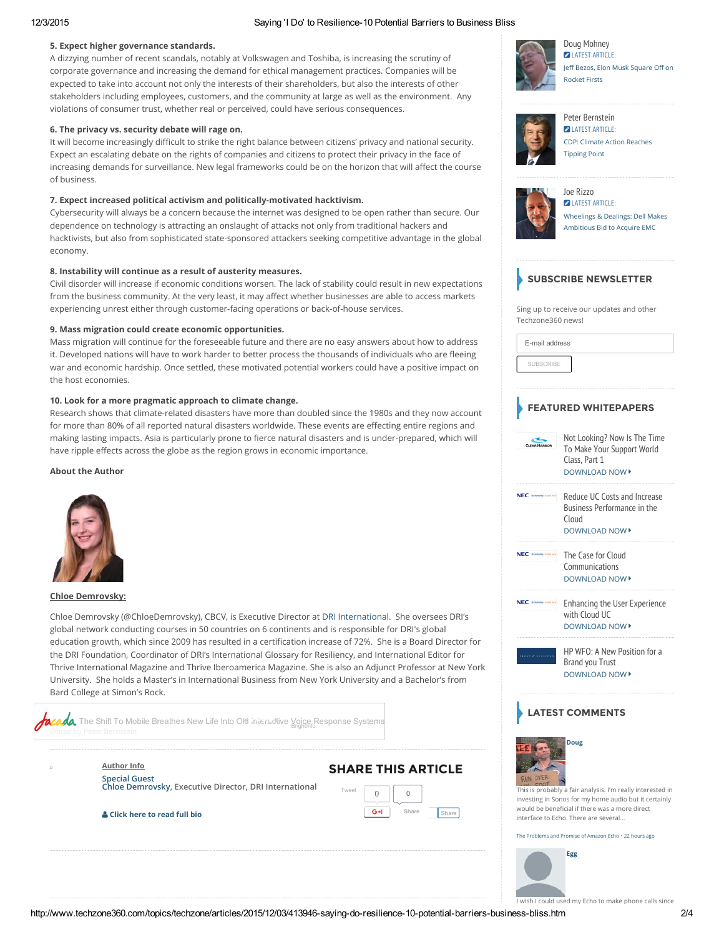### 12/3/2015 Saying 'I Do' to Resilience10 Potential Barriers to Business Bliss

### 5. Expect higher governance standards.

A dizzying number of recent scandals, notably at Volkswagen and Toshiba, is increasing the scrutiny of corporate governance and increasing the demand for ethical management practices. Companies will be expected to take into account not only the interests of their shareholders, but also the interests of other stakeholders including employees, customers, and the community at large as well as the environment. Any violations of consumer trust, whether real or perceived, could have serious consequences.

### 6. The privacy vs. security debate will rage on.

It will become increasingly difficult to strike the right balance between citizens' privacy and national security. Expect an escalating debate on the rights of companies and citizens to protect their privacy in the face of increasing demands for surveillance. New legal frameworks could be on the horizon that will affect the course of business.

### 7. Expect increased political activism and politically-motivated hacktivism.

Cybersecurity will always be a concern because the internet was designed to be open rather than secure. Our dependence on technology is attracting an onslaught of attacks not only from traditional hackers and hacktivists, but also from sophisticated state-sponsored attackers seeking competitive advantage in the global economy.

### 8. Instability will continue as a result of austerity measures.

Civil disorder will increase if economic conditions worsen. The lack of stability could result in new expectations from the business community. At the very least, it may affect whether businesses are able to access markets experiencing unrest either through customer-facing operations or back-of-house services.

### 9. Mass migration could create economic opportunities.

Mass migration will continue for the foreseeable future and there are no easy answers about how to address it. Developed nations will have to work harder to better process the thousands of individuals who are fleeing war and economic hardship. Once settled, these motivated potential workers could have a positive impact on the host economies.

### 10. Look for a more pragmatic approach to climate change.

Research shows that climate-related disasters have more than doubled since the 1980s and they now account for more than 80% of all reported natural disasters worldwide. These events are effecting entire regions and making lasting impacts. Asia is particularly prone to fierce natural disasters and is under-prepared, which will have ripple effects across the globe as the region grows in economic importance.

### About the Author



### Chloe Demrovsky:

Chloe Demrovsky (@ChloeDemrovsky), CBCV, is Executive Director at DRI [International.](https://www.drii.org/) She oversees DRI's global network conducting courses in 50 countries on 6 continents and is responsible for DRI's global education growth, which since 2009 has resulted in a certification increase of 72%. She is a Board Director for the DRI Foundation, Coordinator of DRI's International Glossary for Resiliency, and International Editor for Thrive International Magazine and Thrive Iberoamerica Magazine. She is also an Adjunct Professor at New York University. She holds a Master's in International Business from New York University and a Bachelor's from Bard College at Simon's Rock.

The Shift To Mobile Breathes New Life Into Old interactive Voice Response Systems

Author Info

Special Guest Chloe [Demrovsky](https://www.drii.org/), Executive Director, DRI International

Click here to read full bio





Doug [Mohney](http://www.techzone360.com/columnist.aspx?id=100265) **2 LATEST [ARTICLE:](http://www.techzone360.com/topics/techzone/articles/2015/11/25/413630-jeff-bezos-elon-musk-square-off-rocket-firsts.htm)** Jeff Bezos, Elon Musk [Square](http://www.techzone360.com/topics/techzone/articles/2015/11/25/413630-jeff-bezos-elon-musk-square-off-rocket-firsts.htm) Off on Rocket Firsts



Peter [Bernstein](http://www.techzone360.com/columnist.aspx?id=100446) **D** LATEST [ARTICLE:](http://www.techzone360.com/topics/techzone/articles/2015/11/04/412489-cdp-climate-action-reaches-tipping-point.htm) CDP: Climate Action [Reaches](http://www.techzone360.com/topics/techzone/articles/2015/11/04/412489-cdp-climate-action-reaches-tipping-point.htm) Tipping Point



Joe [Rizzo](http://www.techzone360.com/columnist.aspx?id=100560&nm=Joe%20Rizzo) **DELATEST [ARTICLE:](http://www.techzone360.com/topics/techzone/articles/2015/10/12/411232-wheelings-dealings-dell-makes-ambitious-bid-acquire-emc.htm)** [Wheelings](http://www.techzone360.com/topics/techzone/articles/2015/10/12/411232-wheelings-dealings-dell-makes-ambitious-bid-acquire-emc.htm) & Dealings: Dell Makes Ambitious Bid to Acquire EMC

# SUBSCRIBE NEWSLETTER

Sing up to receive our updates and other Techzone360 news!

| E-mail address   |  |
|------------------|--|
| <b>SUBSCRIBE</b> |  |

### FEATURED WHITEPAPERS



# **ATEST COMMENTS**



This is probably a fair analysis. I'm really interested in investing in Sonos for my home audio but it certainly would be beneficial if there was a more direct interface to Echo. There are several...

 $\frac{1}{2}$  and Promise of Amazon Echo  $\cdot$  22 [hours](http://www.techzone360.com/topics/techzone/articles/2015/10/14/411352-problems-promise-amazon-echo.htm#comment-2389188095) ago

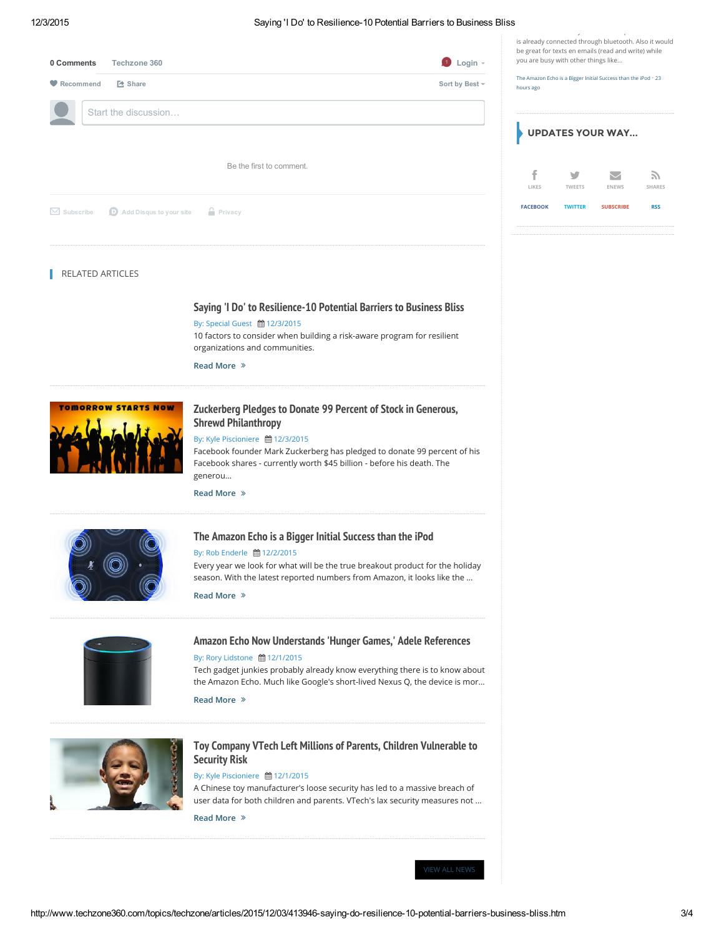### 12/3/2015 Saying 'I Do' to Resilience10 Potential Barriers to Business Bliss

I wish I could used my Echo to make phone calls since is already connected through bluetooth. Also it would

| $\bigcirc$ Login -<br>Techzone 360<br>0 Comments                               |  | be great for texts en emails (read and write) while<br>you are busy with other things like |                    |                  |              |
|--------------------------------------------------------------------------------|--|--------------------------------------------------------------------------------------------|--------------------|------------------|--------------|
| <b>2</b> Share<br>Sort by Best ~<br>Recommend                                  |  | The Amazon Echo is a Bigger Initial Success than the iPod · 23<br>hours ago                |                    |                  |              |
| Start the discussion                                                           |  | <b>UPDATES YOUR WAY</b>                                                                    |                    |                  |              |
| Be the first to comment.                                                       |  | ÷.<br>LIKES                                                                                | V<br><b>TWEETS</b> | <b>ENEWS</b>     | Z)<br>SHARES |
| $\bigcirc$ Add Disqus to your site $\bigcirc$ Privacy<br>$\boxtimes$ Subscribe |  | <b>FACEBOOK</b>                                                                            | <b>TWITTER</b>     | <b>SUBSCRIBE</b> | <b>RSS</b>   |
|                                                                                |  |                                                                                            |                    |                  |              |

### **RELATED ARTICLES**

### Saying 'I Do' to [Resilience-10](http://www.techzone360.com/topics/techzone/articles/2015/12/03/413946-saying-do-resilience-10-potential-barriers-business-bliss.htm) Potential Barriers to Business Bliss

By: Special Guest ■ 12/3/2015

10 factors to consider when building a risk-aware program for resilient organizations and communities.

#### Read More



# Zuckerberg Pledges to Donate 99 Percent of Stock in Generous, Shrewd [Philanthropy](http://www.techzone360.com/topics/techzone/articles/2015/12/03/413913-zuckerberg-pledges-donate-99-percent-stock-generous-shrewd.htm)

### By: Kyle Piscioniere ■ 12/3/2015

Facebook founder Mark Zuckerberg has pledged to donate 99 percent of his Facebook shares - currently worth \$45 billion - before his death. The generou…

Read More



### The [Amazon](http://www.techzone360.com/topics/techzone/articles/2015/12/02/413852-amazon-echo-a-bigger-initial-success-than-ipod.htm) Echo is a Bigger Initial Success than the iPod

### By: Rob Enderle 曲 12/2/2015

Every year we look for what will be the true breakout product for the holiday season. With the latest reported numbers from Amazon, it looks like the …

Read More



### Amazon Echo Now [Understands](http://www.techzone360.com/topics/techzone/articles/2015/12/01/413799-amazon-echo-now-understands-hunger-games-adele-references.htm) 'Hunger Games,' Adele References

## By: Rory Lidstone ■ 12/1/2015

Tech gadget junkies probably already know everything there is to know about the Amazon Echo. Much like Google's short-lived Nexus Q, the device is mor…

Read More



### Toy Company VTech Left Millions of Parents, Children [Vulnerable](http://www.techzone360.com/topics/techzone/articles/2015/12/01/413793-toy-company-vtech-left-millions-parents-children-vulnerable.htm) to Security Risk

### By: Kyle Piscioniere 曲 12/1/2015

A Chinese toy manufacturer's loose security has led to a massive breach of user data for both children and parents. VTech's lax security measures not …

Read More